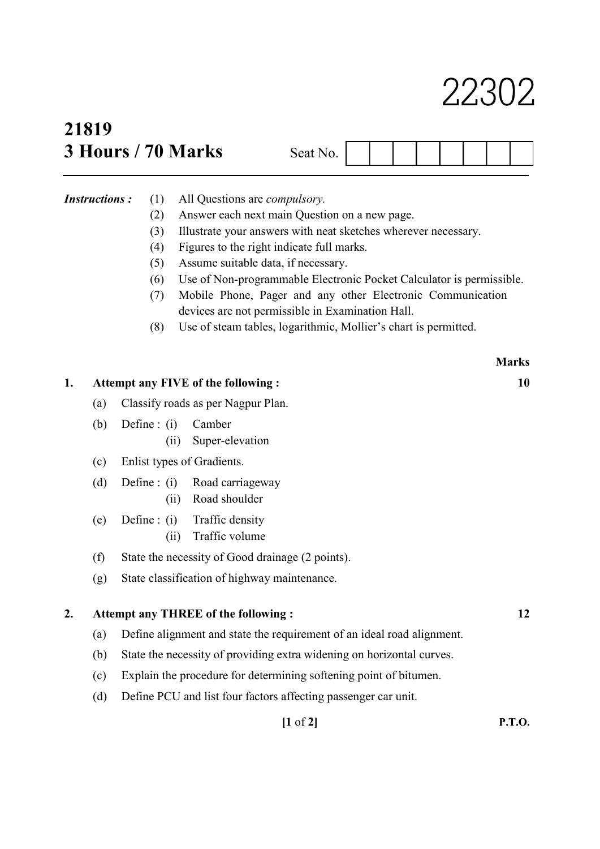# 22302

## 21819  $3$  Hours / 70 Marks Section

| eat N<br>۱U. |  |  |  |  |  |  |  |  |
|--------------|--|--|--|--|--|--|--|--|
|--------------|--|--|--|--|--|--|--|--|

- Instructions : (1) All Questions are *compulsory*.
	- (2) Answer each next main Question on a new page.
	- (3) Illustrate your answers with neat sketches wherever necessary.
	- (4) Figures to the right indicate full marks.
	- (5) Assume suitable data, if necessary.
	- (6) Use of Non-programmable Electronic Pocket Calculator is permissible.
	- (7) Mobile Phone, Pager and any other Electronic Communication devices are not permissible in Examination Hall.
	- (8) Use of steam tables, logarithmic, Mollier's chart is permitted.

|    |     |                                                                        | <b>Marks</b> |  |  |  |  |
|----|-----|------------------------------------------------------------------------|--------------|--|--|--|--|
| 1. |     | Attempt any FIVE of the following:                                     |              |  |  |  |  |
|    | (a) | Classify roads as per Nagpur Plan.                                     |              |  |  |  |  |
|    | (b) | Define : $(i)$<br>Camber<br>Super-elevation<br>(ii)                    |              |  |  |  |  |
|    | (c) | Enlist types of Gradients.                                             |              |  |  |  |  |
|    | (d) | Define : $(i)$<br>Road carriageway<br>Road shoulder<br>(ii)            |              |  |  |  |  |
|    | (e) | Traffic density<br>Define : $(i)$<br>Traffic volume<br>(ii)            |              |  |  |  |  |
|    | (f) | State the necessity of Good drainage (2 points).                       |              |  |  |  |  |
|    | (g) | State classification of highway maintenance.                           |              |  |  |  |  |
| 2. |     | <b>Attempt any THREE of the following:</b>                             | 12           |  |  |  |  |
|    | (a) | Define alignment and state the requirement of an ideal road alignment. |              |  |  |  |  |
|    | (b) | State the necessity of providing extra widening on horizontal curves.  |              |  |  |  |  |
|    | (c) | Explain the procedure for determining softening point of bitumen.      |              |  |  |  |  |
|    | (d) | Define PCU and list four factors affecting passenger car unit.         |              |  |  |  |  |
|    |     | $[1 \text{ of } 2]$                                                    | P.T.O.       |  |  |  |  |